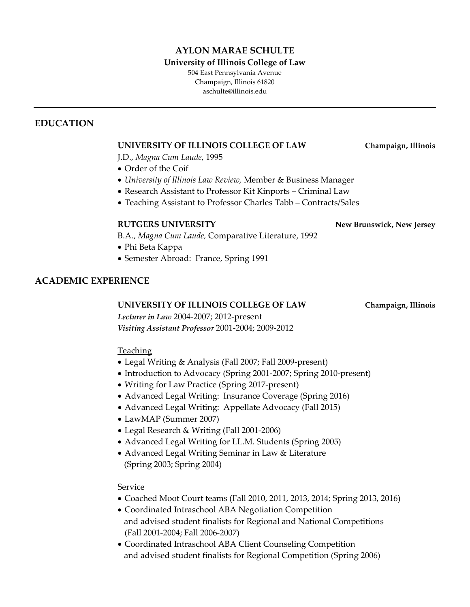## **AYLON MARAE SCHULTE**

#### **University of Illinois College of Law**

504 East Pennsylvania Avenue Champaign, Illinois 61820 aschulte@illinois.edu

### **EDUCATION**

### **UNIVERSITY OF ILLINOIS COLLEGE OF LAW Champaign, Illinois**

J.D., *Magna Cum Laude*, 1995

- Order of the Coif
- *University of Illinois Law Review,* Member & Business Manager
- Research Assistant to Professor Kit Kinports Criminal Law
- Teaching Assistant to Professor Charles Tabb Contracts/Sales

#### **RUTGERS UNIVERSITY New Brunswick, New Jersey**

B.A., *Magna Cum Laude,* Comparative Literature, 1992

- Phi Beta Kappa
- Semester Abroad: France, Spring 1991

### **ACADEMIC EXPERIENCE**

#### **UNIVERSITY OF ILLINOIS COLLEGE OF LAW Champaign, Illinois**

*Lecturer in Law* 2004-2007; 2012-present *Visiting Assistant Professor* 2001-2004; 2009-2012

### Teaching

- Legal Writing & Analysis (Fall 2007; Fall 2009-present)
- Introduction to Advocacy (Spring 2001-2007; Spring 2010-present)
- Writing for Law Practice (Spring 2017-present)
- Advanced Legal Writing: Insurance Coverage (Spring 2016)
- Advanced Legal Writing: Appellate Advocacy (Fall 2015)
- LawMAP (Summer 2007)
- Legal Research & Writing (Fall 2001-2006)
- Advanced Legal Writing for LL.M. Students (Spring 2005)
- Advanced Legal Writing Seminar in Law & Literature (Spring 2003; Spring 2004)

### Service

- Coached Moot Court teams (Fall 2010, 2011, 2013, 2014; Spring 2013, 2016)
- Coordinated Intraschool ABA Negotiation Competition and advised student finalists for Regional and National Competitions (Fall 2001-2004; Fall 2006-2007)
- Coordinated Intraschool ABA Client Counseling Competition and advised student finalists for Regional Competition (Spring 2006)